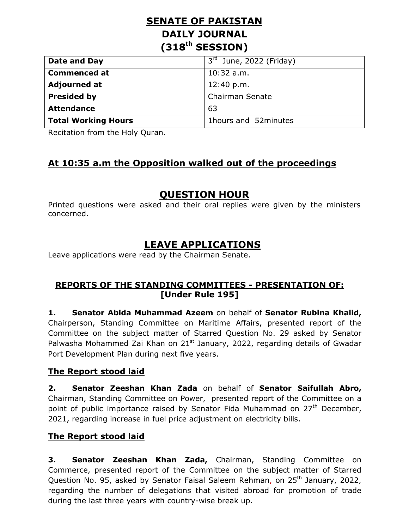# **SENATE OF PAKISTAN DAILY JOURNAL (318th SESSION)**

| Date and Day               | $3rd$ June, 2022 (Friday) |
|----------------------------|---------------------------|
| <b>Commenced at</b>        | $10:32$ a.m.              |
| <b>Adjourned at</b>        | 12:40 p.m.                |
| <b>Presided by</b>         | Chairman Senate           |
| <b>Attendance</b>          | 63                        |
| <b>Total Working Hours</b> | 1hours and 52minutes      |

Recitation from the Holy Quran.

## **At 10:35 a.m the Opposition walked out of the proceedings**

## **QUESTION HOUR**

Printed questions were asked and their oral replies were given by the ministers concerned.

## **LEAVE APPLICATIONS**

Leave applications were read by the Chairman Senate.

### **REPORTS OF THE STANDING COMMITTEES - PRESENTATION OF: [Under Rule 195]**

**1. Senator Abida Muhammad Azeem** on behalf of **Senator Rubina Khalid,**  Chairperson, Standing Committee on Maritime Affairs, presented report of the Committee on the subject matter of Starred Question No. 29 asked by Senator Palwasha Mohammed Zai Khan on  $21<sup>st</sup>$  January, 2022, regarding details of Gwadar Port Development Plan during next five years.

#### **The Report stood laid**

**2. Senator Zeeshan Khan Zada** on behalf of **Senator Saifullah Abro,**  Chairman, Standing Committee on Power, presented report of the Committee on a point of public importance raised by Senator Fida Muhammad on 27<sup>th</sup> December, 2021, regarding increase in fuel price adjustment on electricity bills.

#### **The Report stood laid**

**3. Senator Zeeshan Khan Zada,** Chairman, Standing Committee on Commerce, presented report of the Committee on the subject matter of Starred Question No. 95, asked by Senator Faisal Saleem Rehman, on 25<sup>th</sup> January, 2022, regarding the number of delegations that visited abroad for promotion of trade during the last three years with country-wise break up.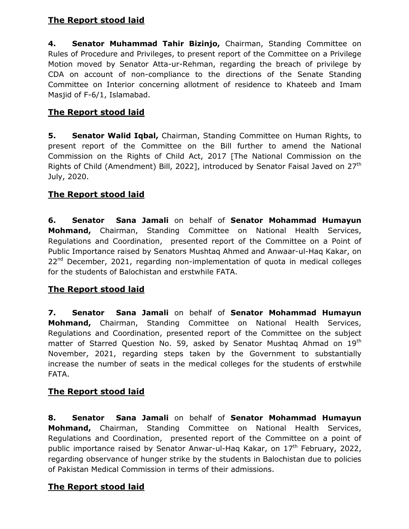### **The Report stood laid**

**4. Senator Muhammad Tahir Bizinjo,** Chairman, Standing Committee on Rules of Procedure and Privileges, to present report of the Committee on a Privilege Motion moved by Senator Atta-ur-Rehman, regarding the breach of privilege by CDA on account of non-compliance to the directions of the Senate Standing Committee on Interior concerning allotment of residence to Khateeb and Imam Masjid of F-6/1, Islamabad.

## **The Report stood laid**

**5. Senator Walid Iqbal,** Chairman, Standing Committee on Human Rights, to present report of the Committee on the Bill further to amend the National Commission on the Rights of Child Act, 2017 [The National Commission on the Rights of Child (Amendment) Bill, 2022], introduced by Senator Faisal Javed on 27<sup>th</sup> July, 2020.

## **The Report stood laid**

**6. Senator Sana Jamali** on behalf of **Senator Mohammad Humayun Mohmand,** Chairman, Standing Committee on National Health Services, Regulations and Coordination, presented report of the Committee on a Point of Public Importance raised by Senators Mushtaq Ahmed and Anwaar-ul-Haq Kakar, on  $22<sup>nd</sup>$  December, 2021, regarding non-implementation of quota in medical colleges for the students of Balochistan and erstwhile FATA.

## **The Report stood laid**

**7. Senator Sana Jamali** on behalf of **Senator Mohammad Humayun Mohmand,** Chairman, Standing Committee on National Health Services, Regulations and Coordination, presented report of the Committee on the subject matter of Starred Question No. 59, asked by Senator Mushtag Ahmad on 19<sup>th</sup> November, 2021, regarding steps taken by the Government to substantially increase the number of seats in the medical colleges for the students of erstwhile FATA.

### **The Report stood laid**

**8. Senator Sana Jamali** on behalf of **Senator Mohammad Humayun Mohmand,** Chairman, Standing Committee on National Health Services, Regulations and Coordination, presented report of the Committee on a point of public importance raised by Senator Anwar-ul-Hag Kakar, on  $17<sup>th</sup>$  February, 2022, regarding observance of hunger strike by the students in Balochistan due to policies of Pakistan Medical Commission in terms of their admissions.

### **The Report stood laid**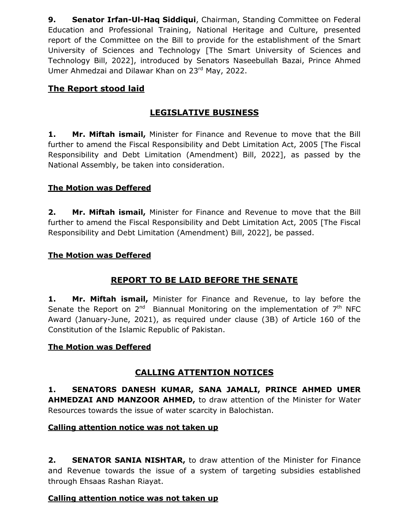**9. Senator Irfan-Ul-Haq Siddiqui**, Chairman, Standing Committee on Federal Education and Professional Training, National Heritage and Culture, presented report of the Committee on the Bill to provide for the establishment of the Smart University of Sciences and Technology [The Smart University of Sciences and Technology Bill, 2022], introduced by Senators Naseebullah Bazai, Prince Ahmed Umer Ahmedzai and Dilawar Khan on 23rd May, 2022.

### **The Report stood laid**

## **LEGISLATIVE BUSINESS**

**1. Mr. Miftah ismail,** Minister for Finance and Revenue to move that the Bill further to amend the Fiscal Responsibility and Debt Limitation Act, 2005 [The Fiscal Responsibility and Debt Limitation (Amendment) Bill, 2022], as passed by the National Assembly, be taken into consideration.

### **The Motion was Deffered**

**2. Mr. Miftah ismail,** Minister for Finance and Revenue to move that the Bill further to amend the Fiscal Responsibility and Debt Limitation Act, 2005 [The Fiscal Responsibility and Debt Limitation (Amendment) Bill, 2022], be passed.

### **The Motion was Deffered**

## **REPORT TO BE LAID BEFORE THE SENATE**

**1. Mr. Miftah ismail,** Minister for Finance and Revenue, to lay before the Senate the Report on 2<sup>nd</sup> Biannual Monitoring on the implementation of  $7<sup>th</sup>$  NFC Award (January-June, 2021), as required under clause (3B) of Article 160 of the Constitution of the Islamic Republic of Pakistan.

#### **The Motion was Deffered**

### **CALLING ATTENTION NOTICES**

**1. SENATORS DANESH KUMAR, SANA JAMALI, PRINCE AHMED UMER AHMEDZAI AND MANZOOR AHMED,** to draw attention of the Minister for Water Resources towards the issue of water scarcity in Balochistan.

#### **Calling attention notice was not taken up**

**2. SENATOR SANIA NISHTAR,** to draw attention of the Minister for Finance and Revenue towards the issue of a system of targeting subsidies established through Ehsaas Rashan Riayat.

#### **Calling attention notice was not taken up**